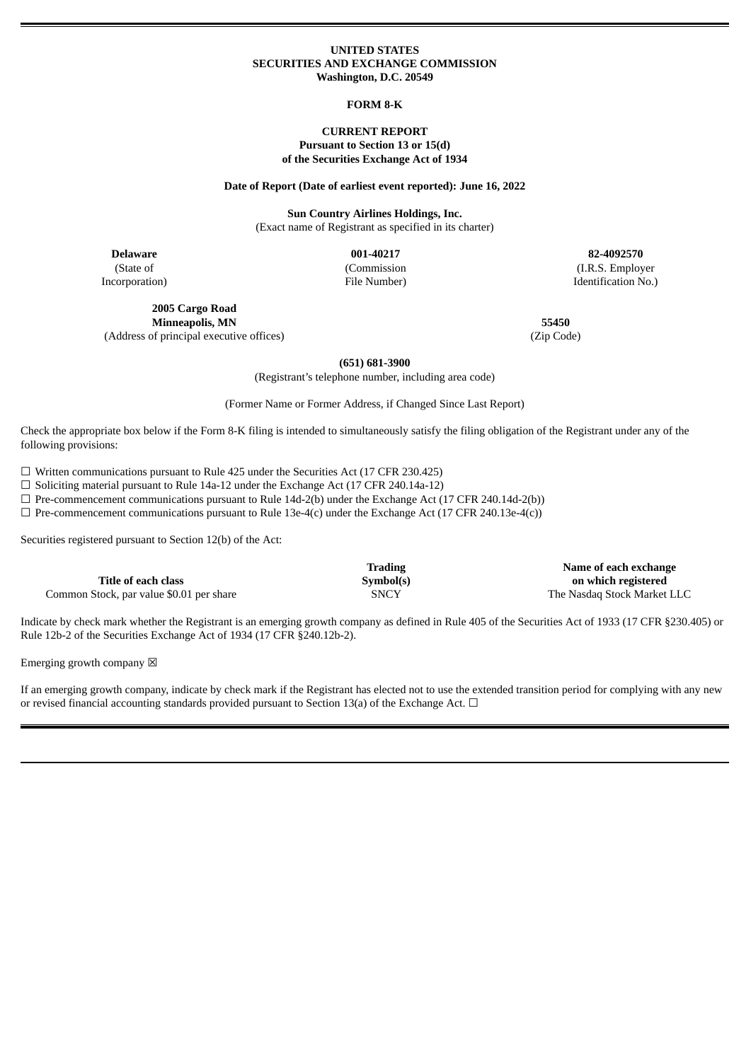#### **UNITED STATES SECURITIES AND EXCHANGE COMMISSION Washington, D.C. 20549**

#### **FORM 8-K**

### **CURRENT REPORT Pursuant to Section 13 or 15(d) of the Securities Exchange Act of 1934**

#### **Date of Report (Date of earliest event reported): June 16, 2022**

**Sun Country Airlines Holdings, Inc.** (Exact name of Registrant as specified in its charter)

(State of Incorporation) (Commission File Number)

**Delaware 001-40217 82-4092570** (I.R.S. Employer Identification No.)

**2005 Cargo Road Minneapolis, MN 55450** (Address of principal executive offices) (Zip Code)

**(651) 681-3900**

(Registrant's telephone number, including area code)

(Former Name or Former Address, if Changed Since Last Report)

Check the appropriate box below if the Form 8-K filing is intended to simultaneously satisfy the filing obligation of the Registrant under any of the following provisions:

 $\Box$  Written communications pursuant to Rule 425 under the Securities Act (17 CFR 230.425)

☐ Soliciting material pursuant to Rule 14a-12 under the Exchange Act (17 CFR 240.14a-12)

 $\Box$  Pre-commencement communications pursuant to Rule 14d-2(b) under the Exchange Act (17 CFR 240.14d-2(b))

 $\Box$  Pre-commencement communications pursuant to Rule 13e-4(c) under the Exchange Act (17 CFR 240.13e-4(c))

Securities registered pursuant to Section 12(b) of the Act:

**Title of each class**

**Trading Symbol(s)**

**Name of each exchange on which registered** Common Stock, par value \$0.01 per share SNCY SNCY SNCY The Nasdaq Stock Market LLC

Indicate by check mark whether the Registrant is an emerging growth company as defined in Rule 405 of the Securities Act of 1933 (17 CFR §230.405) or Rule 12b-2 of the Securities Exchange Act of 1934 (17 CFR §240.12b-2).

Emerging growth company  $\boxtimes$ 

If an emerging growth company, indicate by check mark if the Registrant has elected not to use the extended transition period for complying with any new or revised financial accounting standards provided pursuant to Section 13(a) of the Exchange Act.  $\Box$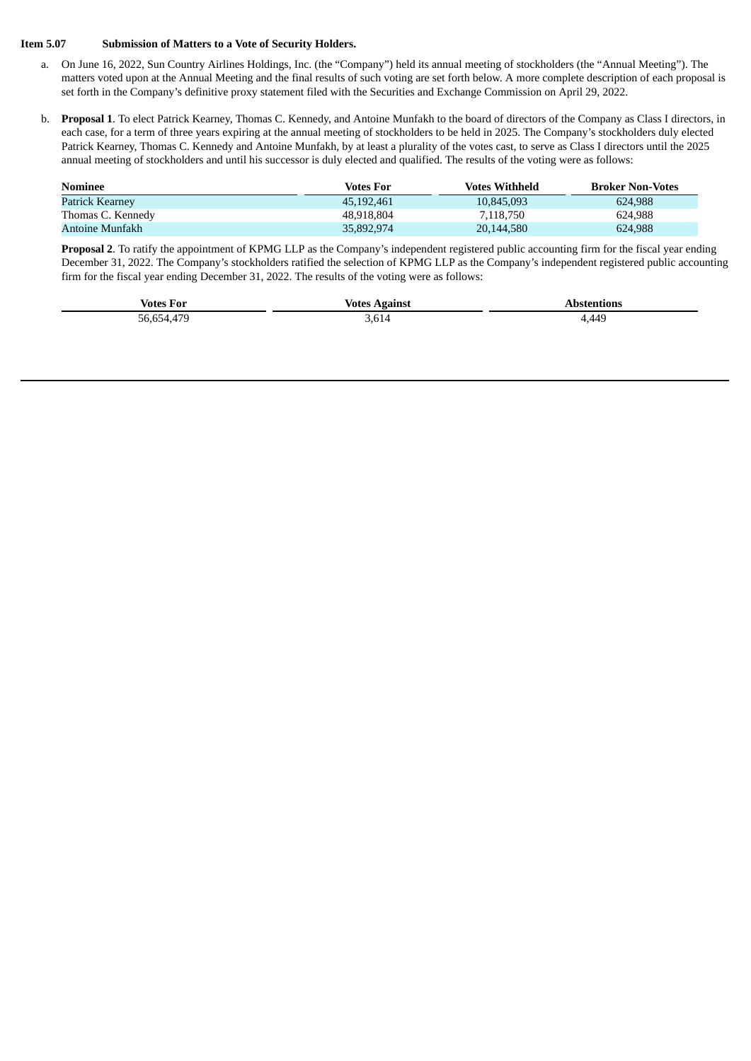#### **Item 5.07 Submission of Matters to a Vote of Security Holders.**

- a. On June 16, 2022, Sun Country Airlines Holdings, Inc. (the "Company") held its annual meeting of stockholders (the "Annual Meeting"). The matters voted upon at the Annual Meeting and the final results of such voting are set forth below. A more complete description of each proposal is set forth in the Company's definitive proxy statement filed with the Securities and Exchange Commission on April 29, 2022.
- b. **Proposal 1**. To elect Patrick Kearney, Thomas C. Kennedy, and Antoine Munfakh to the board of directors of the Company as Class I directors, in each case, for a term of three years expiring at the annual meeting of stockholders to be held in 2025. The Company's stockholders duly elected Patrick Kearney, Thomas C. Kennedy and Antoine Munfakh, by at least a plurality of the votes cast, to serve as Class I directors until the 2025 annual meeting of stockholders and until his successor is duly elected and qualified. The results of the voting were as follows:

| Nominee           | Votes For  | Votes Withheld | <b>Broker Non-Votes</b> |
|-------------------|------------|----------------|-------------------------|
| Patrick Kearney   | 45.192.461 | 10.845.093     | 624.988                 |
| Thomas C. Kennedy | 48.918.804 | 7,118,750      | 624.988                 |
| Antoine Munfakh   | 35,892,974 | 20,144,580     | 624,988                 |

**Proposal 2**. To ratify the appointment of KPMG LLP as the Company's independent registered public accounting firm for the fiscal year ending December 31, 2022. The Company's stockholders ratified the selection of KPMG LLP as the Company's independent registered public accounting firm for the fiscal year ending December 31, 2022. The results of the voting were as follows:

| <b>Votes For</b> | Votes Against      | Abstentions |
|------------------|--------------------|-------------|
| 56,654,479       | <b>DO</b><br>3,614 | 4,449       |